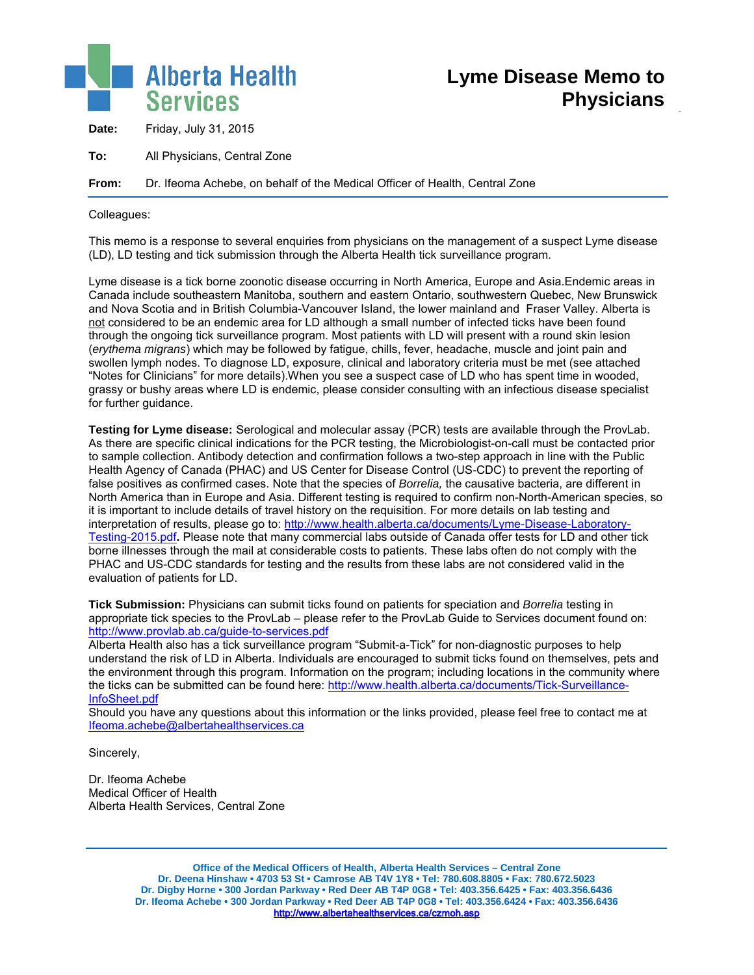

**Date:** Friday, July 31, 2015

**To:** All Physicians, Central Zone

**From:** Dr. Ifeoma Achebe, on behalf of the Medical Officer of Health, Central Zone

Colleagues:

This memo is a response to several enquiries from physicians on the management of a suspect Lyme disease (LD), LD testing and tick submission through the Alberta Health tick surveillance program.

Lyme disease is a tick borne zoonotic disease occurring in North America, Europe and Asia.Endemic areas in Canada include southeastern Manitoba, southern and eastern Ontario, southwestern Quebec, New Brunswick and Nova Scotia and in British Columbia-Vancouver Island, the lower mainland and Fraser Valley. Alberta is not considered to be an endemic area for LD although a small number of infected ticks have been found through the ongoing tick surveillance program. Most patients with LD will present with a round skin lesion (*erythema migrans*) which may be followed by fatigue, chills, fever, headache, muscle and joint pain and swollen lymph nodes. To diagnose LD, exposure, clinical and laboratory criteria must be met (see attached "Notes for Clinicians" for more details).When you see a suspect case of LD who has spent time in wooded, grassy or bushy areas where LD is endemic, please consider consulting with an infectious disease specialist for further quidance.

**Testing for Lyme disease:** Serological and molecular assay (PCR) tests are available through the ProvLab. As there are specific clinical indications for the PCR testing, the Microbiologist-on-call must be contacted prior to sample collection. Antibody detection and confirmation follows a two-step approach in line with the Public Health Agency of Canada (PHAC) and US Center for Disease Control (US-CDC) to prevent the reporting of false positives as confirmed cases. Note that the species of *Borrelia,* the causative bacteria, are different in North America than in Europe and Asia. Different testing is required to confirm non-North-American species, so it is important to include details of travel history on the requisition. For more details on lab testing and interpretation of results, please go to: [http://www.health.alberta.ca/documents/Lyme-Disease-Laboratory-](http://www.health.alberta.ca/documents/Lyme-Disease-Laboratory-Testing-2015.pdf)[Testing-2015.pdf](http://www.health.alberta.ca/documents/Lyme-Disease-Laboratory-Testing-2015.pdf)**.** Please note that many commercial labs outside of Canada offer tests for LD and other tick borne illnesses through the mail at considerable costs to patients. These labs often do not comply with the PHAC and US-CDC standards for testing and the results from these labs are not considered valid in the evaluation of patients for LD.

**Tick Submission:** Physicians can submit ticks found on patients for speciation and *Borrelia* testing in appropriate tick species to the ProvLab – please refer to the ProvLab Guide to Services document found on: <http://www.provlab.ab.ca/guide-to-services.pdf>

Alberta Health also has a tick surveillance program "Submit-a-Tick" for non-diagnostic purposes to help understand the risk of LD in Alberta. Individuals are encouraged to submit ticks found on themselves, pets and the environment through this program. Information on the program; including locations in the community where the ticks can be submitted can be found here: [http://www.health.alberta.ca/documents/Tick-Surveillance-](http://www.health.alberta.ca/documents/Tick-Surveillance-InfoSheet.pdf)[InfoSheet.pdf](http://www.health.alberta.ca/documents/Tick-Surveillance-InfoSheet.pdf)

Should you have any questions about this information or the links provided, please feel free to contact me at [Ifeoma.achebe@albertahealthservices.ca](mailto:Ifeoma.achebe@albertahealthservices.ca)

Sincerely,

Dr. Ifeoma Achebe Medical Officer of Health Alberta Health Services, Central Zone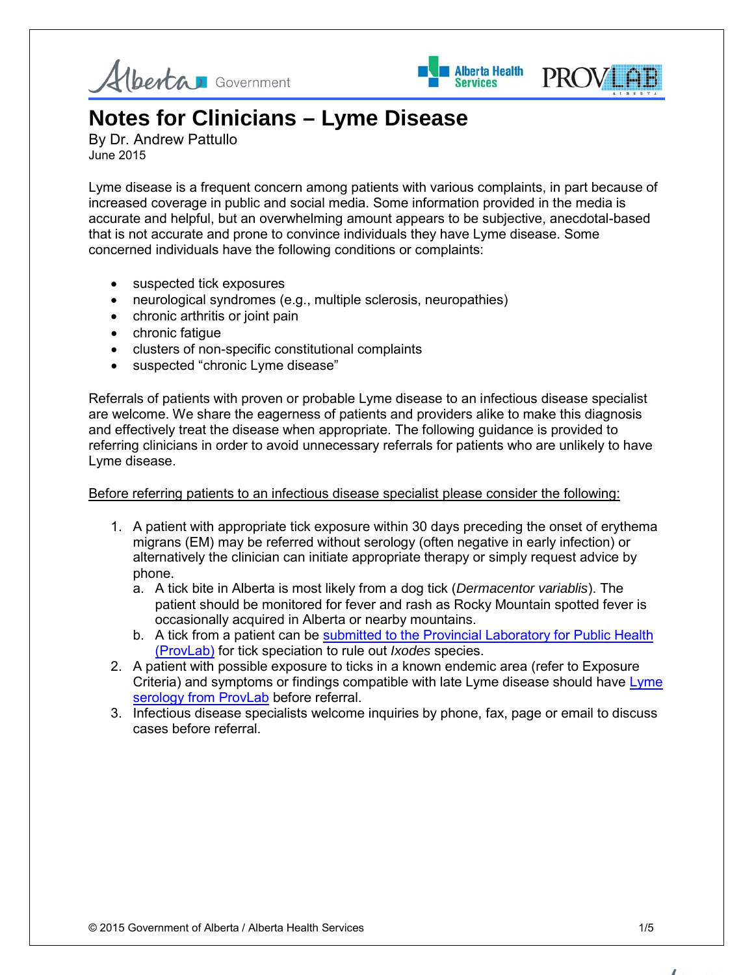





# **Notes for Clinicians – Lyme Disease**

By Dr. Andrew Pattullo June 2015

Lyme disease is a frequent concern among patients with various complaints, in part because of increased coverage in public and social media. Some information provided in the media is accurate and helpful, but an overwhelming amount appears to be subjective, anecdotal-based that is not accurate and prone to convince individuals they have Lyme disease. Some concerned individuals have the following conditions or complaints:

- suspected tick exposures
- neurological syndromes (e.g., multiple sclerosis, neuropathies)
- chronic arthritis or joint pain
- chronic fatigue
- clusters of non-specific constitutional complaints
- suspected "chronic Lyme disease"

Referrals of patients with proven or probable Lyme disease to an infectious disease specialist are welcome. We share the eagerness of patients and providers alike to make this diagnosis and effectively treat the disease when appropriate. The following guidance is provided to referring clinicians in order to avoid unnecessary referrals for patients who are unlikely to have Lyme disease.

## Before referring patients to an infectious disease specialist please consider the following:

- 1. A patient with appropriate tick exposure within 30 days preceding the onset of erythema migrans (EM) may be referred without serology (often negative in early infection) or alternatively the clinician can initiate appropriate therapy or simply request advice by phone.
	- a. A tick bite in Alberta is most likely from a dog tick (*Dermacentor variablis*). The patient should be monitored for fever and rash as Rocky Mountain spotted fever is occasionally acquired in Alberta or nearby mountains.
	- b. A tick from a patient can be submitted to the Provincial Laboratory for Public Health [\(ProvLab\)](http://www.provlab.ab.ca/testing.htm) for tick speciation to rule out *Ixodes* species.
- 2. A patient with possible exposure to ticks in a known endemic area (refer to Exposure Criteria) and symptoms or findings compatible with late Lyme disease should have [Lyme](http://www.provlab.ab.ca/testing.htm)  [serology from ProvLab](http://www.provlab.ab.ca/testing.htm) before referral.
- 3. Infectious disease specialists welcome inquiries by phone, fax, page or email to discuss cases before referral.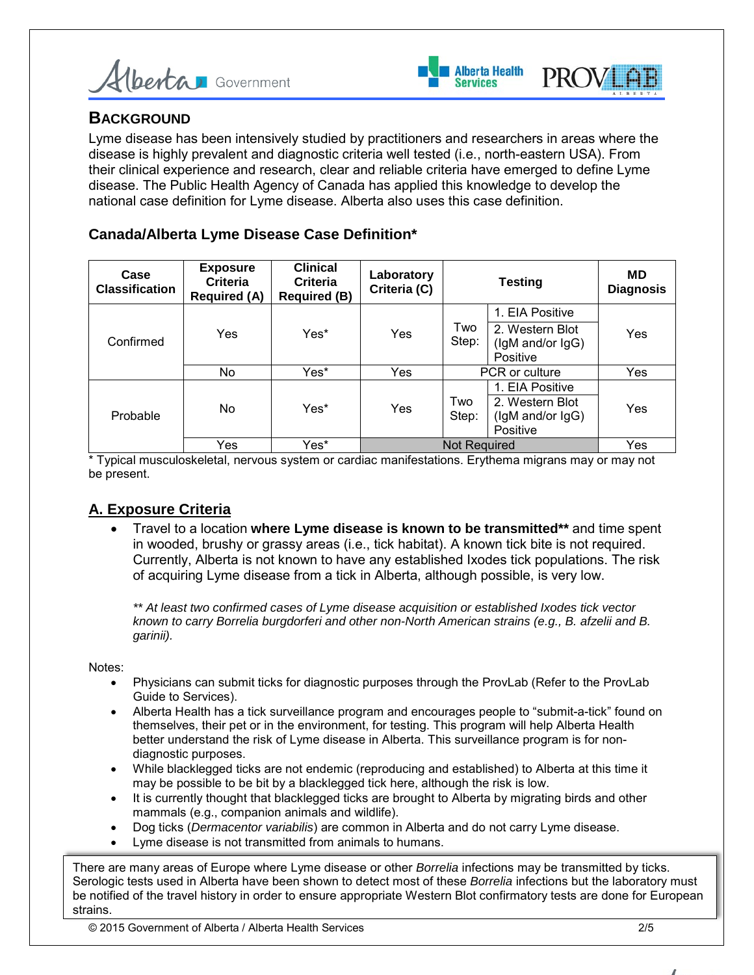



## **BACKGROUND**

Lyme disease has been intensively studied by practitioners and researchers in areas where the disease is highly prevalent and diagnostic criteria well tested (i.e., north-eastern USA). From their clinical experience and research, clear and reliable criteria have emerged to define Lyme disease. The Public Health Agency of Canada has applied this knowledge to develop the national case definition for Lyme disease. Alberta also uses this case definition.

## **Canada/Alberta Lyme Disease Case Definition\***

| Case<br><b>Classification</b> | <b>Exposure</b><br><b>Criteria</b><br><b>Required (A)</b> | <b>Clinical</b><br>Criteria<br><b>Required (B)</b> | Laboratory<br>Criteria (C) | <b>Testing</b> |                                                                    | MD<br><b>Diagnosis</b> |
|-------------------------------|-----------------------------------------------------------|----------------------------------------------------|----------------------------|----------------|--------------------------------------------------------------------|------------------------|
| Confirmed                     | Yes                                                       | Yes*                                               | Yes                        | Two<br>Step:   | 1. EIA Positive                                                    | Yes                    |
|                               |                                                           |                                                    |                            |                | 2. Western Blot<br>(IgM and/or IgG)<br>Positive                    |                        |
|                               | No.                                                       | Yes*                                               | Yes                        | PCR or culture |                                                                    | Yes                    |
| Probable                      | No.                                                       | Yes*                                               | Yes                        | Two<br>Step:   | 1. EIA Positive<br>2. Western Blot<br>(IgM and/or IgG)<br>Positive | Yes                    |
|                               | Yes                                                       | Yes*                                               | <b>Not Required</b>        |                |                                                                    | Yes                    |

\* Typical musculoskeletal, nervous system or cardiac manifestations. Erythema migrans may or may not be present.

## **A. Exposure Criteria**

• Travel to a location **where Lyme disease is known to be transmitted\*\*** and time spent in wooded, brushy or grassy areas (i.e., tick habitat). A known tick bite is not required. Currently, Alberta is not known to have any established Ixodes tick populations. The risk of acquiring Lyme disease from a tick in Alberta, although possible, is very low.

*\*\* At least two confirmed cases of Lyme disease acquisition or established Ixodes tick vector known to carry Borrelia burgdorferi and other non-North American strains (e.g., B. afzelii and B. garinii).* 

Notes:

- Physicians can submit ticks for diagnostic purposes through the ProvLab (Refer to the ProvLab Guide to Services).
- Alberta Health has a tick surveillance program and encourages people to "submit-a-tick" found on themselves, their pet or in the environment, for testing. This program will help Alberta Health better understand the risk of Lyme disease in Alberta. This surveillance program is for nondiagnostic purposes.
- While blacklegged ticks are not endemic (reproducing and established) to Alberta at this time it may be possible to be bit by a blacklegged tick here, although the risk is low.
- It is currently thought that blacklegged ticks are brought to Alberta by migrating birds and other mammals (e.g., companion animals and wildlife).
- Dog ticks (*Dermacentor variabilis*) are common in Alberta and do not carry Lyme disease.
- Lyme disease is not transmitted from animals to humans.

There are many areas of Europe where Lyme disease or other *Borrelia* infections may be transmitted by ticks. Serologic tests used in Alberta have been shown to detect most of these *Borrelia* infections but the laboratory must be notified of the travel history in order to ensure appropriate Western Blot confirmatory tests are done for European strains.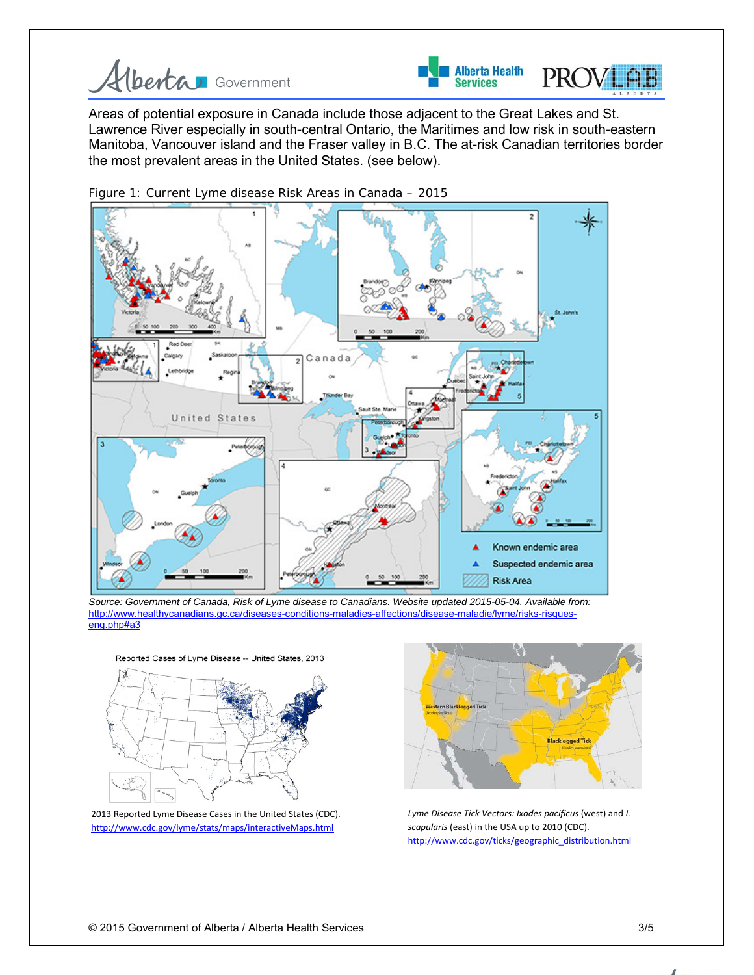



Areas of potential exposure in Canada include those adjacent to the Great Lakes and St. Lawrence River especially in south-central Ontario, the Maritimes and low risk in south-eastern Manitoba, Vancouver island and the Fraser valley in B.C. The at-risk Canadian territories border the most prevalent areas in the United States. (see below).



Figure 1: Current Lyme disease Risk Areas in Canada – 2015

*Source: Government of Canada, Risk of Lyme disease to Canadians. Website updated 2015-05-04. Available from:*  [http://www.healthycanadians.gc.ca/diseases-conditions-maladies-affections/disease-maladie/lyme/risks-risques](http://www.healthycanadians.gc.ca/diseases-conditions-maladies-affections/disease-maladie/lyme/risks-risques-eng.php%23a3)[eng.php#a3](http://www.healthycanadians.gc.ca/diseases-conditions-maladies-affections/disease-maladie/lyme/risks-risques-eng.php%23a3)





2013 [Reported Lyme Disease Cases in the United States \(CDC\).](http://www.cdc.gov/lyme/stats/maps/map2013.html)  <http://www.cdc.gov/lyme/stats/maps/interactiveMaps.html>



*Lyme Disease Tick Vectors: Ixodes pacificus* (west) and *I. scapularis* (east) in the USA up to 2010 (CDC). [http://www.cdc.gov/ticks/geographic\\_distribution.html](http://www.cdc.gov/ticks/geographic_distribution.html)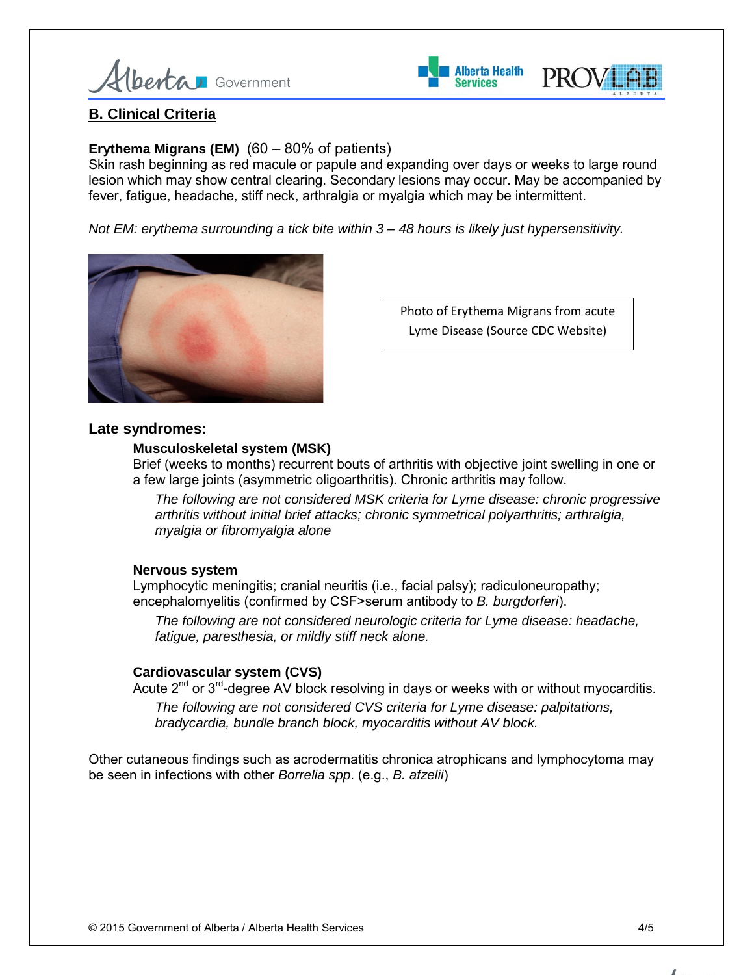



## **B. Clinical Criteria**

## **Erythema Migrans (EM)** (60 – 80% of patients)

Skin rash beginning as red macule or papule and expanding over days or weeks to large round lesion which may show central clearing. Secondary lesions may occur. May be accompanied by fever, fatigue, headache, stiff neck, arthralgia or myalgia which may be intermittent.

*Not EM: erythema surrounding a tick bite within 3 – 48 hours is likely just hypersensitivity.*



Photo of Erythema Migrans from acute Lyme Disease (Source CDC Website)

#### **Late syndromes:**

#### **Musculoskeletal system (MSK)**

Brief (weeks to months) recurrent bouts of arthritis with objective joint swelling in one or a few large joints (asymmetric oligoarthritis). Chronic arthritis may follow.

*The following are not considered MSK criteria for Lyme disease: chronic progressive arthritis without initial brief attacks; chronic symmetrical polyarthritis; arthralgia, myalgia or fibromyalgia alone*

#### **Nervous system**

Lymphocytic meningitis; cranial neuritis (i.e., facial palsy); radiculoneuropathy; encephalomyelitis (confirmed by CSF>serum antibody to *B. burgdorferi*).

*The following are not considered neurologic criteria for Lyme disease: headache, fatigue, paresthesia, or mildly stiff neck alone.*

#### **Cardiovascular system (CVS)**

Acute  $2^{nd}$  or  $3^{rd}$ -degree AV block resolving in days or weeks with or without myocarditis. *The following are not considered CVS criteria for Lyme disease: palpitations, bradycardia, bundle branch block, myocarditis without AV block.*

Other cutaneous findings such as acrodermatitis chronica atrophicans and lymphocytoma may be seen in infections with other *Borrelia spp*. (e.g., *B. afzelii*)